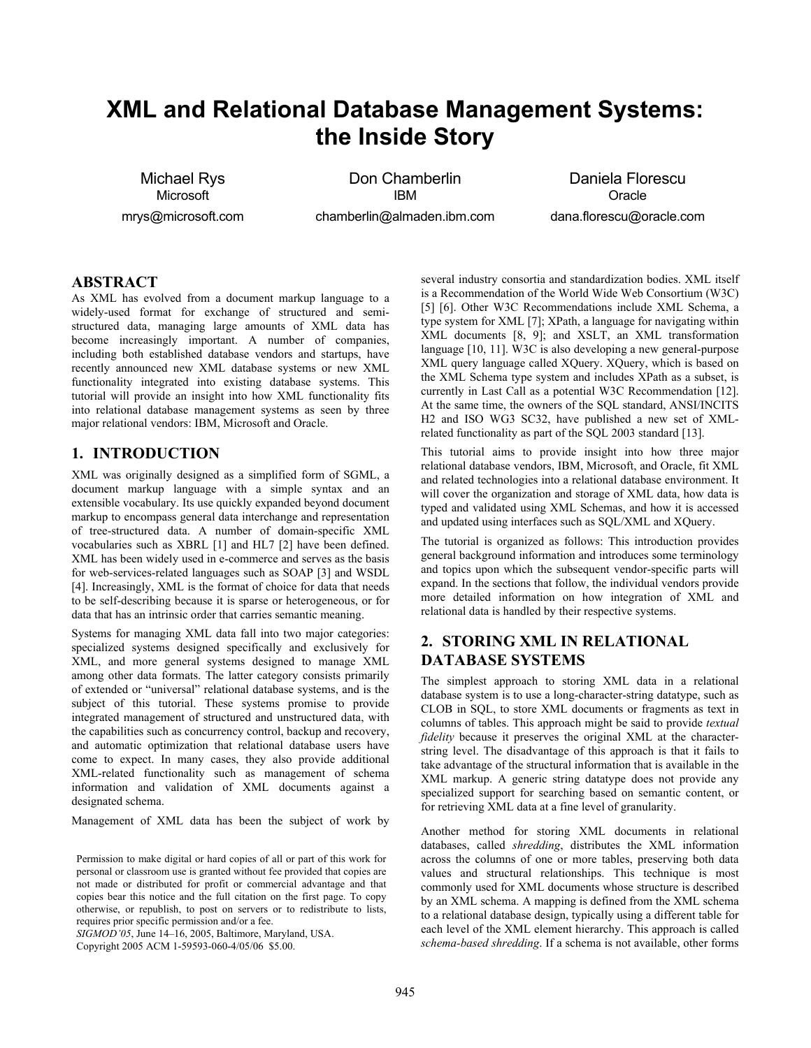# **XML and Relational Database Management Systems: the Inside Story**

Michael Rys **Microsoft** mrys@microsoft.com

Don Chamberlin IBM chamberlin@almaden.ibm.com

Daniela Florescu **Oracle** dana.florescu@oracle.com

#### **ABSTRACT**

As XML has evolved from a document markup language to a widely-used format for exchange of structured and semistructured data, managing large amounts of XML data has become increasingly important. A number of companies, including both established database vendors and startups, have recently announced new XML database systems or new XML functionality integrated into existing database systems. This tutorial will provide an insight into how XML functionality fits into relational database management systems as seen by three major relational vendors: IBM, Microsoft and Oracle.

#### **1. INTRODUCTION**

XML was originally designed as a simplified form of SGML, a document markup language with a simple syntax and an extensible vocabulary. Its use quickly expanded beyond document markup to encompass general data interchange and representation of tree-structured data. A number of domain-specific XML vocabularies such as XBRL [1] and HL7 [2] have been defined. XML has been widely used in e-commerce and serves as the basis for web-services-related languages such as SOAP [3] and WSDL [4]. Increasingly, XML is the format of choice for data that needs to be self-describing because it is sparse or heterogeneous, or for data that has an intrinsic order that carries semantic meaning.

Systems for managing XML data fall into two major categories: specialized systems designed specifically and exclusively for XML, and more general systems designed to manage XML among other data formats. The latter category consists primarily of extended or "universal" relational database systems, and is the subject of this tutorial. These systems promise to provide integrated management of structured and unstructured data, with the capabilities such as concurrency control, backup and recovery, and automatic optimization that relational database users have come to expect. In many cases, they also provide additional XML-related functionality such as management of schema information and validation of XML documents against a designated schema.

Management of XML data has been the subject of work by

*SIGMOD'05*, June 14–16, 2005, Baltimore, Maryland, USA.

Copyright 2005 ACM 1-59593-060-4/05/06 \$5.00.

several industry consortia and standardization bodies. XML itself is a Recommendation of the World Wide Web Consortium (W3C) [5] [6]. Other W3C Recommendations include XML Schema, a type system for XML [7]; XPath, a language for navigating within XML documents [8, 9]; and XSLT, an XML transformation language [10, 11]. W3C is also developing a new general-purpose XML query language called XQuery. XQuery, which is based on the XML Schema type system and includes XPath as a subset, is currently in Last Call as a potential W3C Recommendation [12]. At the same time, the owners of the SQL standard, ANSI/INCITS H2 and ISO WG3 SC32, have published a new set of XMLrelated functionality as part of the SQL 2003 standard [13].

This tutorial aims to provide insight into how three major relational database vendors, IBM, Microsoft, and Oracle, fit XML and related technologies into a relational database environment. It will cover the organization and storage of XML data, how data is typed and validated using XML Schemas, and how it is accessed and updated using interfaces such as SQL/XML and XQuery.

The tutorial is organized as follows: This introduction provides general background information and introduces some terminology and topics upon which the subsequent vendor-specific parts will expand. In the sections that follow, the individual vendors provide more detailed information on how integration of XML and relational data is handled by their respective systems.

## **2. STORING XML IN RELATIONAL DATABASE SYSTEMS**

The simplest approach to storing XML data in a relational database system is to use a long-character-string datatype, such as CLOB in SQL, to store XML documents or fragments as text in columns of tables. This approach might be said to provide *textual fidelity* because it preserves the original XML at the characterstring level. The disadvantage of this approach is that it fails to take advantage of the structural information that is available in the XML markup. A generic string datatype does not provide any specialized support for searching based on semantic content, or for retrieving XML data at a fine level of granularity.

Another method for storing XML documents in relational databases, called *shredding*, distributes the XML information across the columns of one or more tables, preserving both data values and structural relationships. This technique is most commonly used for XML documents whose structure is described by an XML schema. A mapping is defined from the XML schema to a relational database design, typically using a different table for each level of the XML element hierarchy. This approach is called *schema-based shredding*. If a schema is not available, other forms

Permission to make digital or hard copies of all or part of this work for personal or classroom use is granted without fee provided that copies are not made or distributed for profit or commercial advantage and that copies bear this notice and the full citation on the first page. To copy otherwise, or republish, to post on servers or to redistribute to lists, requires prior specific permission and/or a fee.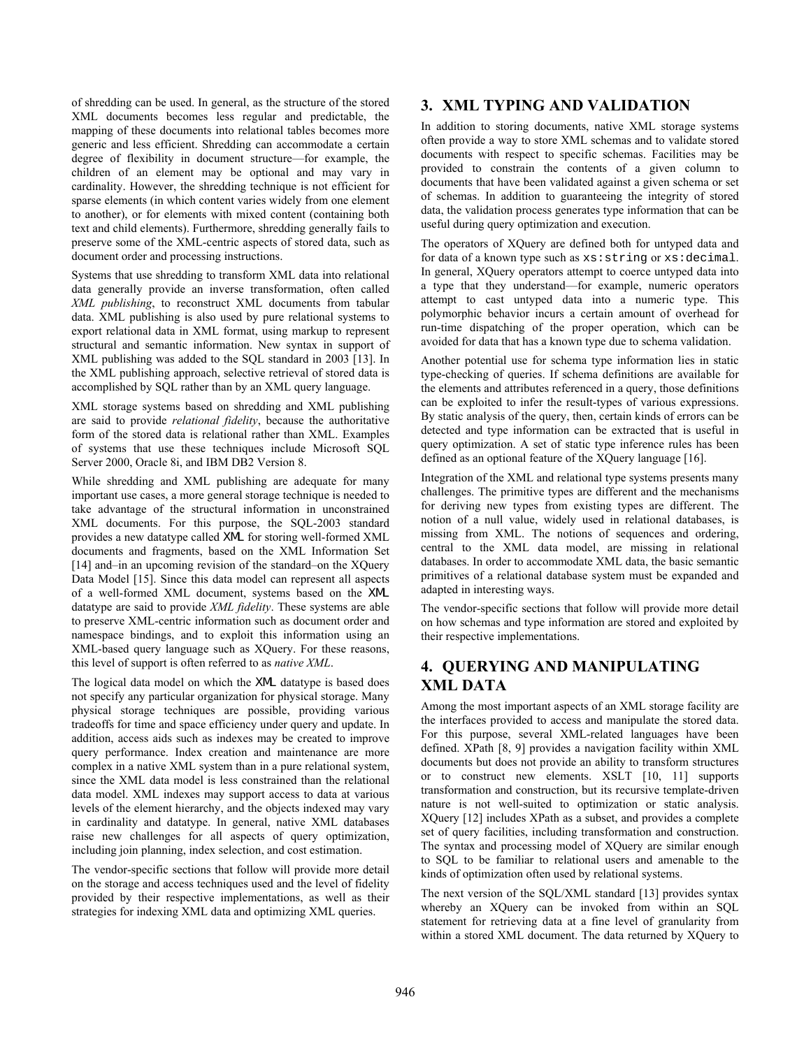of shredding can be used. In general, as the structure of the stored XML documents becomes less regular and predictable, the mapping of these documents into relational tables becomes more generic and less efficient. Shredding can accommodate a certain degree of flexibility in document structure—for example, the children of an element may be optional and may vary in cardinality. However, the shredding technique is not efficient for sparse elements (in which content varies widely from one element to another), or for elements with mixed content (containing both text and child elements). Furthermore, shredding generally fails to preserve some of the XML-centric aspects of stored data, such as document order and processing instructions.

Systems that use shredding to transform XML data into relational data generally provide an inverse transformation, often called *XML publishing*, to reconstruct XML documents from tabular data. XML publishing is also used by pure relational systems to export relational data in XML format, using markup to represent structural and semantic information. New syntax in support of XML publishing was added to the SQL standard in 2003 [13]. In the XML publishing approach, selective retrieval of stored data is accomplished by SQL rather than by an XML query language.

XML storage systems based on shredding and XML publishing are said to provide *relational fidelity*, because the authoritative form of the stored data is relational rather than XML. Examples of systems that use these techniques include Microsoft SQL Server 2000, Oracle 8i, and IBM DB2 Version 8.

While shredding and XML publishing are adequate for many important use cases, a more general storage technique is needed to take advantage of the structural information in unconstrained XML documents. For this purpose, the SQL-2003 standard provides a new datatype called XML for storing well-formed XML documents and fragments, based on the XML Information Set [14] and–in an upcoming revision of the standard–on the XQuery Data Model [15]. Since this data model can represent all aspects of a well-formed XML document, systems based on the XML datatype are said to provide *XML fidelity*. These systems are able to preserve XML-centric information such as document order and namespace bindings, and to exploit this information using an XML-based query language such as XQuery. For these reasons, this level of support is often referred to as *native XML*.

The logical data model on which the XML datatype is based does not specify any particular organization for physical storage. Many physical storage techniques are possible, providing various tradeoffs for time and space efficiency under query and update. In addition, access aids such as indexes may be created to improve query performance. Index creation and maintenance are more complex in a native XML system than in a pure relational system, since the XML data model is less constrained than the relational data model. XML indexes may support access to data at various levels of the element hierarchy, and the objects indexed may vary in cardinality and datatype. In general, native XML databases raise new challenges for all aspects of query optimization, including join planning, index selection, and cost estimation.

The vendor-specific sections that follow will provide more detail on the storage and access techniques used and the level of fidelity provided by their respective implementations, as well as their strategies for indexing XML data and optimizing XML queries.

## **3. XML TYPING AND VALIDATION**

In addition to storing documents, native XML storage systems often provide a way to store XML schemas and to validate stored documents with respect to specific schemas. Facilities may be provided to constrain the contents of a given column to documents that have been validated against a given schema or set of schemas. In addition to guaranteeing the integrity of stored data, the validation process generates type information that can be useful during query optimization and execution.

The operators of XQuery are defined both for untyped data and for data of a known type such as  $xs:string$  or  $xs:decimal$ . In general, XQuery operators attempt to coerce untyped data into a type that they understand—for example, numeric operators attempt to cast untyped data into a numeric type. This polymorphic behavior incurs a certain amount of overhead for run-time dispatching of the proper operation, which can be avoided for data that has a known type due to schema validation.

Another potential use for schema type information lies in static type-checking of queries. If schema definitions are available for the elements and attributes referenced in a query, those definitions can be exploited to infer the result-types of various expressions. By static analysis of the query, then, certain kinds of errors can be detected and type information can be extracted that is useful in query optimization. A set of static type inference rules has been defined as an optional feature of the XQuery language [16].

Integration of the XML and relational type systems presents many challenges. The primitive types are different and the mechanisms for deriving new types from existing types are different. The notion of a null value, widely used in relational databases, is missing from XML. The notions of sequences and ordering, central to the XML data model, are missing in relational databases. In order to accommodate XML data, the basic semantic primitives of a relational database system must be expanded and adapted in interesting ways.

The vendor-specific sections that follow will provide more detail on how schemas and type information are stored and exploited by their respective implementations.

## **4. QUERYING AND MANIPULATING XML DATA**

Among the most important aspects of an XML storage facility are the interfaces provided to access and manipulate the stored data. For this purpose, several XML-related languages have been defined. XPath [8, 9] provides a navigation facility within XML documents but does not provide an ability to transform structures or to construct new elements. XSLT [10, 11] supports transformation and construction, but its recursive template-driven nature is not well-suited to optimization or static analysis. XQuery [12] includes XPath as a subset, and provides a complete set of query facilities, including transformation and construction. The syntax and processing model of XQuery are similar enough to SQL to be familiar to relational users and amenable to the kinds of optimization often used by relational systems.

The next version of the SQL/XML standard [13] provides syntax whereby an XQuery can be invoked from within an SQL statement for retrieving data at a fine level of granularity from within a stored XML document. The data returned by XQuery to